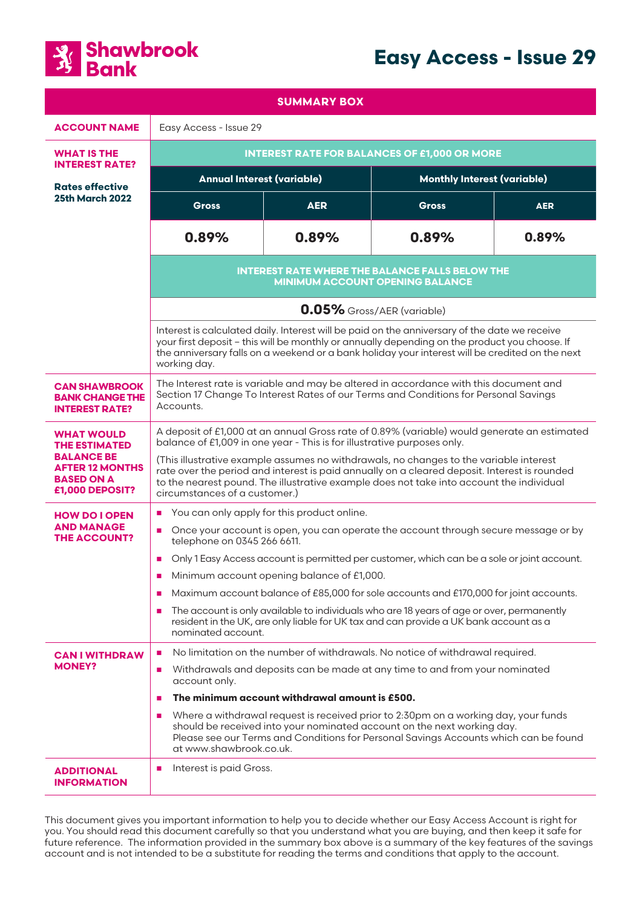



| <b>SUMMARY BOX</b>                                                                                                               |                                                                                                                                                                                                                                                                                                                                                                                                                                                                                               |            |                                    |            |
|----------------------------------------------------------------------------------------------------------------------------------|-----------------------------------------------------------------------------------------------------------------------------------------------------------------------------------------------------------------------------------------------------------------------------------------------------------------------------------------------------------------------------------------------------------------------------------------------------------------------------------------------|------------|------------------------------------|------------|
| <b>ACCOUNT NAME</b>                                                                                                              | Easy Access - Issue 29                                                                                                                                                                                                                                                                                                                                                                                                                                                                        |            |                                    |            |
| <b>WHAT IS THE</b>                                                                                                               | <b>INTEREST RATE FOR BALANCES OF £1,000 OR MORE</b>                                                                                                                                                                                                                                                                                                                                                                                                                                           |            |                                    |            |
| <b>INTEREST RATE?</b><br><b>Rates effective</b><br>25th March 2022                                                               | <b>Annual Interest (variable)</b>                                                                                                                                                                                                                                                                                                                                                                                                                                                             |            | <b>Monthly Interest (variable)</b> |            |
|                                                                                                                                  | <b>Gross</b>                                                                                                                                                                                                                                                                                                                                                                                                                                                                                  | <b>AER</b> | <b>Gross</b>                       | <b>AER</b> |
|                                                                                                                                  | 0.89%                                                                                                                                                                                                                                                                                                                                                                                                                                                                                         | 0.89%      | 0.89%                              | 0.89%      |
|                                                                                                                                  | <b>INTEREST RATE WHERE THE BALANCE FALLS BELOW THE</b><br><b>MINIMUM ACCOUNT OPENING BALANCE</b><br>0.05% Gross/AER (variable)<br>Interest is calculated daily. Interest will be paid on the anniversary of the date we receive<br>your first deposit - this will be monthly or annually depending on the product you choose. If<br>the anniversary falls on a weekend or a bank holiday your interest will be credited on the next<br>working day.                                           |            |                                    |            |
|                                                                                                                                  |                                                                                                                                                                                                                                                                                                                                                                                                                                                                                               |            |                                    |            |
|                                                                                                                                  |                                                                                                                                                                                                                                                                                                                                                                                                                                                                                               |            |                                    |            |
| <b>CAN SHAWBROOK</b><br><b>BANK CHANGE THE</b><br><b>INTEREST RATE?</b>                                                          | The Interest rate is variable and may be altered in accordance with this document and<br>Section 17 Change To Interest Rates of our Terms and Conditions for Personal Savings<br>Accounts.                                                                                                                                                                                                                                                                                                    |            |                                    |            |
| <b>WHAT WOULD</b><br><b>THE ESTIMATED</b><br><b>BALANCE BE</b><br><b>AFTER 12 MONTHS</b><br><b>BASED ON A</b><br>£1,000 DEPOSIT? | A deposit of £1,000 at an annual Gross rate of 0.89% (variable) would generate an estimated<br>balance of £1,009 in one year - This is for illustrative purposes only.<br>(This illustrative example assumes no withdrawals, no changes to the variable interest<br>rate over the period and interest is paid annually on a cleared deposit. Interest is rounded<br>to the nearest pound. The illustrative example does not take into account the individual<br>circumstances of a customer.) |            |                                    |            |
| <b>HOW DO I OPEN</b><br><b>AND MANAGE</b><br><b>THE ACCOUNT?</b>                                                                 | You can only apply for this product online.<br>$\blacksquare$<br>Once your account is open, you can operate the account through secure message or by<br>$\mathcal{L}_{\mathcal{A}}$<br>telephone on 0345 266 6611.<br>Only 1 Easy Access account is permitted per customer, which can be a sole or joint account.<br>$\mathbf{r}$<br>Minimum account opening balance of £1,000.<br>п<br>Maximum account balance of £85,000 for sole accounts and £170,000 for joint accounts.<br>п            |            |                                    |            |
|                                                                                                                                  | The account is only available to individuals who are 18 years of age or over, permanently<br>a.<br>resident in the UK, are only liable for UK tax and can provide a UK bank account as a<br>nominated account.                                                                                                                                                                                                                                                                                |            |                                    |            |
| <b>CAN I WITHDRAW</b><br><b>MONEY?</b>                                                                                           | No limitation on the number of withdrawals. No notice of withdrawal required.<br>п<br>Withdrawals and deposits can be made at any time to and from your nominated<br>п<br>account only.<br>The minimum account withdrawal amount is £500.<br>п<br>Where a withdrawal request is received prior to 2:30pm on a working day, your funds<br>п                                                                                                                                                    |            |                                    |            |
|                                                                                                                                  | should be received into your nominated account on the next working day.<br>Please see our Terms and Conditions for Personal Savings Accounts which can be found<br>at www.shawbrook.co.uk.                                                                                                                                                                                                                                                                                                    |            |                                    |            |
| <b>ADDITIONAL</b><br><b>INFORMATION</b>                                                                                          | Interest is paid Gross.<br>п                                                                                                                                                                                                                                                                                                                                                                                                                                                                  |            |                                    |            |

This document gives you important information to help you to decide whether our Easy Access Account is right for you. You should read this document carefully so that you understand what you are buying, and then keep it safe for future reference. The information provided in the summary box above is a summary of the key features of the savings account and is not intended to be a substitute for reading the terms and conditions that apply to the account.